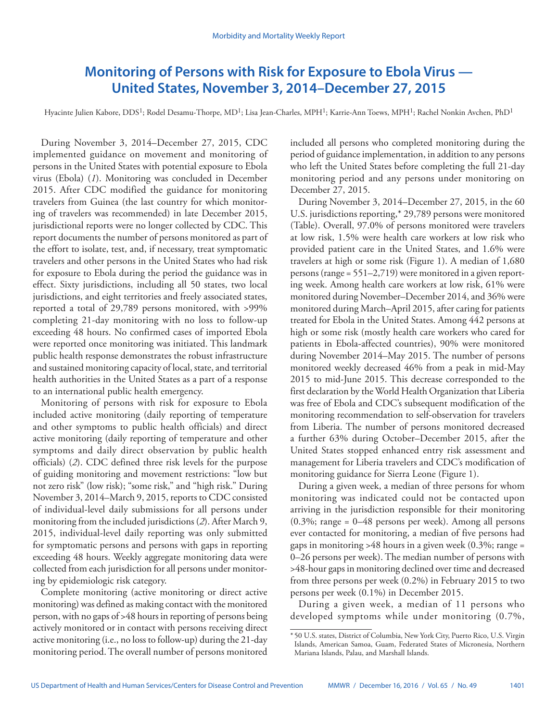# **Monitoring of Persons with Risk for Exposure to Ebola Virus — United States, November 3, 2014–December 27, 2015**

Hyacinte Julien Kabore, DDS<sup>1</sup>; Rodel Desamu-Thorpe, MD<sup>1</sup>; Lisa Jean-Charles, MPH<sup>1</sup>; Karrie-Ann Toews, MPH<sup>1</sup>; Rachel Nonkin Avchen, PhD<sup>1</sup>

During November 3, 2014–December 27, 2015, CDC implemented guidance on movement and monitoring of persons in the United States with potential exposure to Ebola virus (Ebola) (*1*). Monitoring was concluded in December 2015. After CDC modified the guidance for monitoring travelers from Guinea (the last country for which monitoring of travelers was recommended) in late December 2015, jurisdictional reports were no longer collected by CDC. This report documents the number of persons monitored as part of the effort to isolate, test, and, if necessary, treat symptomatic travelers and other persons in the United States who had risk for exposure to Ebola during the period the guidance was in effect. Sixty jurisdictions, including all 50 states, two local jurisdictions, and eight territories and freely associated states, reported a total of 29,789 persons monitored, with >99% completing 21-day monitoring with no loss to follow-up exceeding 48 hours. No confirmed cases of imported Ebola were reported once monitoring was initiated. This landmark public health response demonstrates the robust infrastructure and sustained monitoring capacity of local, state, and territorial health authorities in the United States as a part of a response to an international public health emergency.

Monitoring of persons with risk for exposure to Ebola included active monitoring (daily reporting of temperature and other symptoms to public health officials) and direct active monitoring (daily reporting of temperature and other symptoms and daily direct observation by public health officials) (*2*). CDC defined three risk levels for the purpose of guiding monitoring and movement restrictions: "low but not zero risk" (low risk); "some risk," and "high risk." During November 3, 2014–March 9, 2015, reports to CDC consisted of individual-level daily submissions for all persons under monitoring from the included jurisdictions (*2*). After March 9, 2015, individual-level daily reporting was only submitted for symptomatic persons and persons with gaps in reporting exceeding 48 hours. Weekly aggregate monitoring data were collected from each jurisdiction for all persons under monitoring by epidemiologic risk category.

Complete monitoring (active monitoring or direct active monitoring) was defined as making contact with the monitored person, with no gaps of >48 hours in reporting of persons being actively monitored or in contact with persons receiving direct active monitoring (i.e., no loss to follow-up) during the 21-day monitoring period. The overall number of persons monitored

included all persons who completed monitoring during the period of guidance implementation, in addition to any persons who left the United States before completing the full 21-day monitoring period and any persons under monitoring on December 27, 2015.

During November 3, 2014–December 27, 2015, in the 60 U.S. jurisdictions reporting,\* 29,789 persons were monitored (Table). Overall, 97.0% of persons monitored were travelers at low risk, 1.5% were health care workers at low risk who provided patient care in the United States, and 1.6% were travelers at high or some risk (Figure 1). A median of 1,680 persons (range = 551–2,719) were monitored in a given reporting week. Among health care workers at low risk, 61% were monitored during November–December 2014, and 36% were monitored during March–April 2015, after caring for patients treated for Ebola in the United States. Among 442 persons at high or some risk (mostly health care workers who cared for patients in Ebola-affected countries), 90% were monitored during November 2014–May 2015. The number of persons monitored weekly decreased 46% from a peak in mid-May 2015 to mid-June 2015. This decrease corresponded to the first declaration by the World Health Organization that Liberia was free of Ebola and CDC's subsequent modification of the monitoring recommendation to self-observation for travelers from Liberia. The number of persons monitored decreased a further 63% during October–December 2015, after the United States stopped enhanced entry risk assessment and management for Liberia travelers and CDC's modification of monitoring guidance for Sierra Leone (Figure 1).

During a given week, a median of three persons for whom monitoring was indicated could not be contacted upon arriving in the jurisdiction responsible for their monitoring  $(0.3\%; \text{ range} = 0-48 \text{ persons per week})$ . Among all persons ever contacted for monitoring, a median of five persons had gaps in monitoring  $>48$  hours in a given week (0.3%; range = 0–26 persons per week). The median number of persons with >48-hour gaps in monitoring declined over time and decreased from three persons per week (0.2%) in February 2015 to two persons per week (0.1%) in December 2015.

During a given week, a median of 11 persons who developed symptoms while under monitoring (0.7%,

<sup>\*</sup> 50 U.S. states, District of Columbia, New York City, Puerto Rico, U.S. Virgin Islands, American Samoa, Guam, Federated States of Micronesia, Northern Mariana Islands, Palau, and Marshall Islands.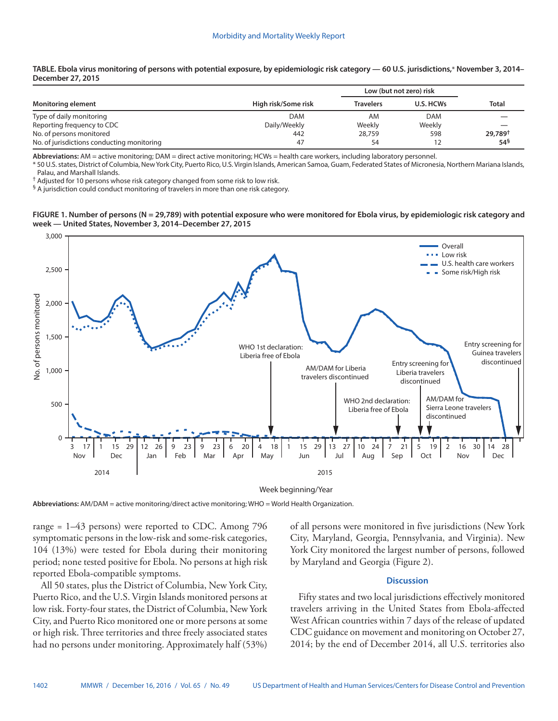| TABLE. Ebola virus monitoring of persons with potential exposure, by epidemiologic risk category — 60 U.S. jurisdictions,* November 3, 2014– |  |
|----------------------------------------------------------------------------------------------------------------------------------------------|--|
| December 27, 2015                                                                                                                            |  |

| <b>Monitoring element</b>                  |                     | Low (but not zero) risk |            |                     |  |
|--------------------------------------------|---------------------|-------------------------|------------|---------------------|--|
|                                            | High risk/Some risk | <b>Travelers</b>        | U.S. HCWs  | <b>Total</b>        |  |
| Type of daily monitoring                   | DAM                 | AM                      | <b>DAM</b> |                     |  |
| Reporting frequency to CDC                 | Daily/Weekly        | Weekly                  | Weekly     |                     |  |
| No. of persons monitored                   | 442                 | 28,759                  | 598        | 29.789 <sup>†</sup> |  |
| No. of jurisdictions conducting monitoring | 47                  | 54                      |            | $54^{5}$            |  |

**Abbreviations:** AM = active monitoring; DAM = direct active monitoring; HCWs = health care workers, including laboratory personnel.

\* 50 U.S. states, District of Columbia, New York City, Puerto Rico, U.S. Virgin Islands, American Samoa, Guam, Federated States of Micronesia, Northern Mariana Islands, Palau, and Marshall Islands.

<sup>†</sup> Adjusted for 10 persons whose risk category changed from some risk to low risk.

<sup>§</sup> A jurisdiction could conduct monitoring of travelers in more than one risk category.

### **FIGURE 1. Number of persons (N = 29,789) with potential exposure who were monitored for Ebola virus, by epidemiologic risk category and week — United States, November 3, 2014–December 27, 2015**



Week beginning/Year

**Abbreviations:** AM/DAM = active monitoring/direct active monitoring; WHO = World Health Organization.

range = 1–43 persons) were reported to CDC. Among 796 symptomatic persons in the low-risk and some-risk categories, 104 (13%) were tested for Ebola during their monitoring period; none tested positive for Ebola. No persons at high risk reported Ebola-compatible symptoms.

All 50 states, plus the District of Columbia, New York City, Puerto Rico, and the U.S. Virgin Islands monitored persons at low risk. Forty-four states, the District of Columbia, New York City, and Puerto Rico monitored one or more persons at some or high risk. Three territories and three freely associated states had no persons under monitoring. Approximately half (53%) of all persons were monitored in five jurisdictions (New York City, Maryland, Georgia, Pennsylvania, and Virginia). New York City monitored the largest number of persons, followed by Maryland and Georgia (Figure 2).

## **Discussion**

Fifty states and two local jurisdictions effectively monitored travelers arriving in the United States from Ebola-affected West African countries within 7 days of the release of updated CDC guidance on movement and monitoring on October 27, 2014; by the end of December 2014, all U.S. territories also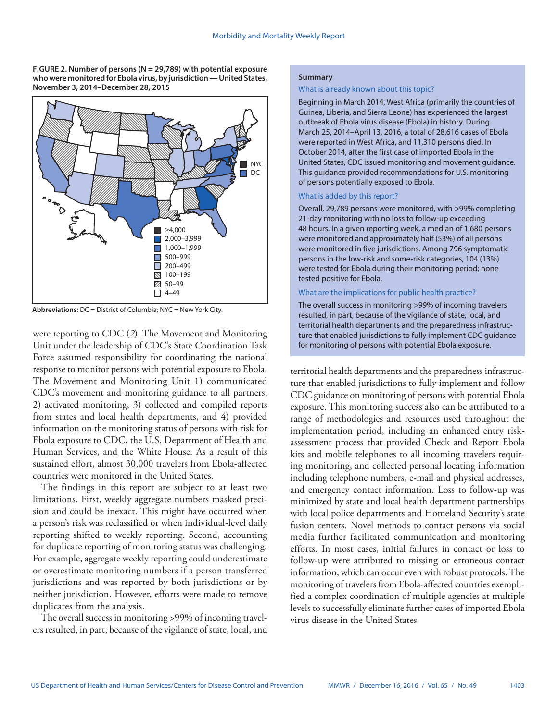**FIGURE 2. Number of persons (N = 29,789) with potential exposure who were monitored for Ebola virus, by jurisdiction — United States, November 3, 2014–December 28, 2015**



**Abbreviations:** DC = District of Columbia; NYC = New York City.

were reporting to CDC (*2*). The Movement and Monitoring Unit under the leadership of CDC's State Coordination Task Force assumed responsibility for coordinating the national response to monitor persons with potential exposure to Ebola. The Movement and Monitoring Unit 1) communicated CDC's movement and monitoring guidance to all partners, 2) activated monitoring, 3) collected and compiled reports from states and local health departments, and 4) provided information on the monitoring status of persons with risk for Ebola exposure to CDC, the U.S. Department of Health and Human Services, and the White House. As a result of this sustained effort, almost 30,000 travelers from Ebola-affected countries were monitored in the United States.

The findings in this report are subject to at least two limitations. First, weekly aggregate numbers masked precision and could be inexact. This might have occurred when a person's risk was reclassified or when individual-level daily reporting shifted to weekly reporting. Second, accounting for duplicate reporting of monitoring status was challenging. For example, aggregate weekly reporting could underestimate or overestimate monitoring numbers if a person transferred jurisdictions and was reported by both jurisdictions or by neither jurisdiction. However, efforts were made to remove duplicates from the analysis.

The overall success in monitoring >99% of incoming travelers resulted, in part, because of the vigilance of state, local, and

### **Summary**

### What is already known about this topic?

Beginning in March 2014, West Africa (primarily the countries of Guinea, Liberia, and Sierra Leone) has experienced the largest outbreak of Ebola virus disease (Ebola) in history. During March 25, 2014–April 13, 2016, a total of 28,616 cases of Ebola were reported in West Africa, and 11,310 persons died. In October 2014, after the first case of imported Ebola in the United States, CDC issued monitoring and movement guidance. This guidance provided recommendations for U.S. monitoring of persons potentially exposed to Ebola.

#### What is added by this report?

Overall, 29,789 persons were monitored, with >99% completing 21-day monitoring with no loss to follow-up exceeding 48 hours. In a given reporting week, a median of 1,680 persons were monitored and approximately half (53%) of all persons were monitored in five jurisdictions. Among 796 symptomatic persons in the low-risk and some-risk categories, 104 (13%) were tested for Ebola during their monitoring period; none tested positive for Ebola.

## What are the implications for public health practice?

The overall success in monitoring >99% of incoming travelers resulted, in part, because of the vigilance of state, local, and territorial health departments and the preparedness infrastructure that enabled jurisdictions to fully implement CDC guidance for monitoring of persons with potential Ebola exposure.

territorial health departments and the preparedness infrastructure that enabled jurisdictions to fully implement and follow CDC guidance on monitoring of persons with potential Ebola exposure. This monitoring success also can be attributed to a range of methodologies and resources used throughout the implementation period, including an enhanced entry riskassessment process that provided Check and Report Ebola kits and mobile telephones to all incoming travelers requiring monitoring, and collected personal locating information including telephone numbers, e-mail and physical addresses, and emergency contact information. Loss to follow-up was minimized by state and local health department partnerships with local police departments and Homeland Security's state fusion centers. Novel methods to contact persons via social media further facilitated communication and monitoring efforts. In most cases, initial failures in contact or loss to follow-up were attributed to missing or erroneous contact information, which can occur even with robust protocols. The monitoring of travelers from Ebola-affected countries exemplified a complex coordination of multiple agencies at multiple levels to successfully eliminate further cases of imported Ebola virus disease in the United States.